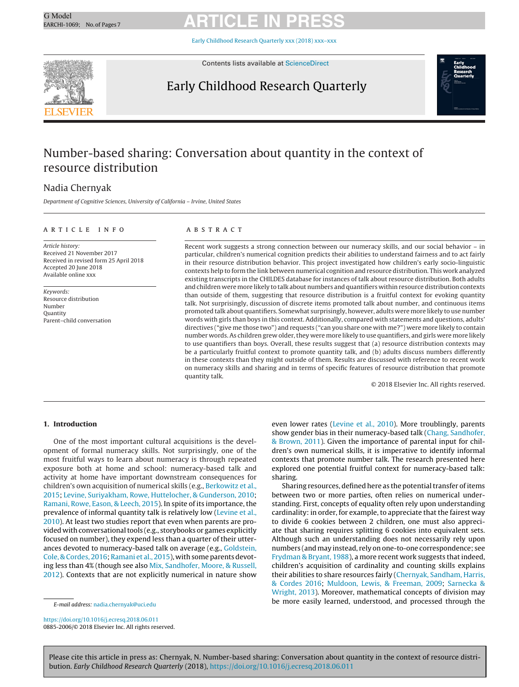Early [Childhood](https://doi.org/10.1016/j.ecresq.2018.06.011) Research Quarterly xxx (2018) xxx–xxx



Contents lists available at [ScienceDirect](http://www.sciencedirect.com/science/journal/08852006)

### Early Childhood Research Quarterly



### Number-based sharing: Conversation about quantity in the context of resource distribution

### Nadia Chernyak

Department of Cognitive Sciences, University of California – Irvine, United States

#### ARTICLE INFO

Article history: Received 21 November 2017 Received in revised form 25 April 2018 Accepted 20 June 2018 Available online xxx

Keywords: Resource distribution Number Quantity Parent–child conversation

#### A B S T R A C T

Recent work suggests a strong connection between our numeracy skills, and our social behavior – in particular, children's numerical cognition predicts their abilities to understand fairness and to act fairly in their resource distribution behavior. This project investigated how children's early socio-linguistic contexts help to form the link between numerical cognition and resource distribution. This work analyzed existing transcripts in the CHILDES database for instances of talk about resource distribution. Both adults and children were more likely to talk about numbers and quantifiers within resource distribution contexts than outside of them, suggesting that resource distribution is a fruitful context for evoking quantity talk. Not surprisingly, discussion of discrete items promoted talk about number, and continuous items promoted talk about quantifiers. Somewhat surprisingly, however, adults were more likely to use number words with girls than boys in this context. Additionally, compared with statements and questions, adults' directives ("give me those two") and requests ("can you share one with me?") were more likely to contain number words. As children grew older, they were more likely to use quantifiers, and girls were more likely to use quantifiers than boys. Overall, these results suggest that (a) resource distribution contexts may be a particularly fruitful context to promote quantity talk, and (b) adults discuss numbers differently in these contexts than they might outside of them. Results are discussed with reference to recent work on numeracy skills and sharing and in terms of specific features of resource distribution that promote quantity talk.

© 2018 Elsevier Inc. All rights reserved.

#### **1. Introduction**

One of the most important cultural acquisitions is the development of formal numeracy skills. Not surprisingly, one of the most fruitful ways to learn about numeracy is through repeated exposure both at home and school: numeracy-based talk and activity at home have important downstream consequences for children's own acquisition of numerical skills (e.g., [Berkowitz](#page-5-0) et [al.,](#page-5-0) [2015;](#page-5-0) [Levine,](#page-5-0) [Suriyakham,](#page-5-0) [Rowe,](#page-5-0) [Huttelocher,](#page-5-0) [&](#page-5-0) [Gunderson,](#page-5-0) [2010;](#page-5-0) [Ramani,](#page-5-0) [Rowe,](#page-5-0) [Eason,](#page-5-0) [&](#page-5-0) [Leech,](#page-5-0) [2015\).](#page-5-0) In spite of its importance, the prevalence of informal quantity talk is relatively low [\(Levine](#page-5-0) et [al.,](#page-5-0) [2010\).](#page-5-0) At least two studies report that even when parents are provided with conversational tools (e.g., storybooks or games explicitly focused on number), they expend less than a quarter of their utterances devoted to numeracy-based talk on average (e.g., [Goldstein,](#page-5-0) [Cole,](#page-5-0) [&](#page-5-0) [Cordes,](#page-5-0) 2016; Ramani et [al.,](#page-5-0) [2015\),](#page-5-0) with some parents devoting less than 4% (though see also [Mix,](#page-5-0) [Sandhofer,](#page-5-0) [Moore,](#page-5-0) [&](#page-5-0) [Russell,](#page-5-0) [2012\).](#page-5-0) Contexts that are not explicitly numerical in nature show

<https://doi.org/10.1016/j.ecresq.2018.06.011> 0885-2006/© 2018 Elsevier Inc. All rights reserved. even lower rates [\(Levine](#page-5-0) et [al.,](#page-5-0) [2010\).](#page-5-0) More troublingly, parents show gender bias in their numeracy-based talk [\(Chang,](#page-5-0) [Sandhofer,](#page-5-0) [&](#page-5-0) [Brown,](#page-5-0) [2011\).](#page-5-0) Given the importance of parental input for children's own numerical skills, it is imperative to identify informal contexts that promote number talk. The research presented here explored one potential fruitful context for numeracy-based talk: sharing.

Sharing resources, defined here as the potential transfer of items between two or more parties, often relies on numerical understanding. First, concepts of equality often rely upon understanding cardinality: in order, for example, to appreciate that the fairest way to divide 6 cookies between 2 children, one must also appreciate that sharing requires splitting 6 cookies into equivalent sets. Although such an understanding does not necessarily rely upon numbers (and may instead, rely on one-to-one correspondence; see [Frydman](#page-5-0) [&](#page-5-0) [Bryant,](#page-5-0) [1988\),](#page-5-0) a more recent work suggests that indeed, children's acquisition of cardinality and counting skills explains their abilities to share resources fairly [\(Chernyak,](#page-5-0) [Sandham,](#page-5-0) [Harris,](#page-5-0) [&](#page-5-0) [Cordes](#page-5-0) [2016;](#page-5-0) [Muldoon,](#page-5-0) [Lewis,](#page-5-0) [&](#page-5-0) [Freeman,](#page-5-0) [2009;](#page-5-0) [Sarnecka](#page-5-0) [&](#page-5-0) [Wright,](#page-5-0) [2013\).](#page-5-0) Moreover, mathematical concepts of division may be more easily learned, understood, and processed through the

E-mail address: [nadia.chernyak@uci.edu](mailto:nadia.chernyak@uci.edu)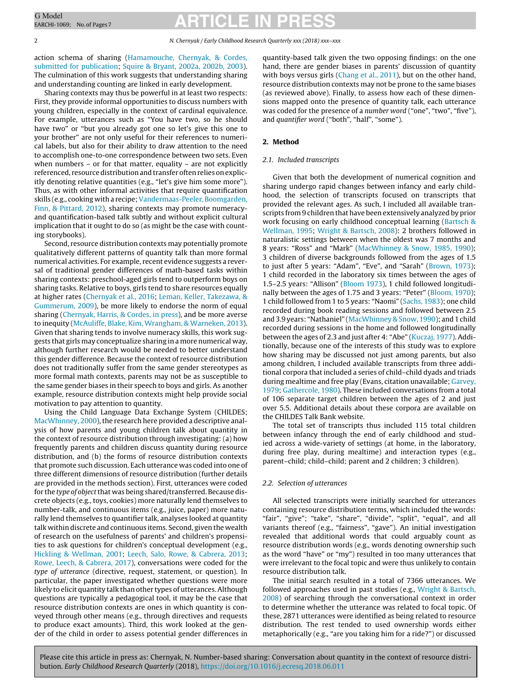2 N. Chernyak / Early Childhood Research Quarterly xxx (2018) xxx–xxx

action schema of sharing [\(Hamamouche,](#page-5-0) [Chernyak,](#page-5-0) [&](#page-5-0) [Cordes,](#page-5-0) [submitted](#page-5-0) [for](#page-5-0) [publication;](#page-5-0) [Squire](#page-6-0) [&](#page-6-0) [Bryant,](#page-6-0) [2002a,](#page-6-0) [2002b,](#page-6-0) [2003\).](#page-6-0) The culmination of this work suggests that understanding sharing and understanding counting are linked in early development.

Sharing contexts may thus be powerful in at least two respects: First, they provide informal opportunities to discuss numbers with young children, especially in the context of cardinal equivalence. For example, utterances such as "You have two, so he should have two" or "but you already got one so let's give this one to your brother" are not only useful for their references to numerical labels, but also for their ability to draw attention to the need to accomplish one-to-one correspondence between two sets. Even when numbers  $-$  or for that matter, equality  $-$  are not explicitly referenced, resource distribution and transfer often relies on explicitly denoting relative quantities (e.g., "let's give him some more"). Thus, as with other informal activities that require quantification skills (e.g., cooking with a recipe;[Vandermaas-Peeler,](#page-6-0) [Boomgarden,](#page-6-0) [Finn,](#page-6-0) [&](#page-6-0) [Pittard,](#page-6-0) [2012\),](#page-6-0) sharing contexts may promote numeracyand quantification-based talk subtly and without explicit cultural implication that it ought to do so (as might be the case with counting storybooks).

Second, resource distribution contexts may potentially promote qualitatively different patterns of quantity talk than more formal numerical activities. For example, recent evidence suggests a reversal of traditional gender differences of math-based tasks within sharing contexts: preschool-aged girls tend to outperform boys on sharing tasks. Relative to boys, girls tend to share resources equally at higher rates [\(Chernyak](#page-5-0) et [al.,](#page-5-0) [2016;](#page-5-0) [Leman,](#page-5-0) [Keller,](#page-5-0) [Takezawa,](#page-5-0) [&](#page-5-0) [Gummerum,](#page-5-0) [2009\),](#page-5-0) be more likely to endorse the norm of equal sharing ([Chernyak,](#page-5-0) [Harris,](#page-5-0) [&](#page-5-0) [Cordes,](#page-5-0) [in](#page-5-0) [press\),](#page-5-0) and be more averse to inequity ([McAuliffe,](#page-5-0) [Blake,](#page-5-0) [Kim,](#page-5-0) [Wrangham,](#page-5-0) [&](#page-5-0) [Warneken,](#page-5-0) [2013\).](#page-5-0) Given that sharing tends to involve numeracy skills, this work suggests that girls may conceptualize sharing in a more numerical way, although further research would be needed to better understand this gender difference. Because the context of resource distribution does not traditionally suffer from the same gender stereotypes as more formal math contexts, parents may not be as susceptible to the same gender biases in their speech to boys and girls. As another example, resource distribution contexts might help provide social motivation to pay attention to quantity.

Using the Child Language Data Exchange System (CHILDES; [MacWhinney,](#page-5-0) [2000\),](#page-5-0) the research here provided a descriptive analysis of how parents and young children talk about quantity in the context of resource distribution through investigating: (a) how frequently parents and children discuss quantity during resource distribution, and (b) the forms of resource distribution contexts that promote such discussion. Each utterance was coded into one of three different dimensions of resource distribution (further details are provided in the methods section). First, utterances were coded for the type of object that was being shared/transferred. Because discrete objects (e.g., toys, cookies) more naturally lend themselves to number-talk, and continuous items (e.g., juice, paper) more naturally lend themselves to quantifier talk, analyses looked at quantity talk within discrete and continuous items. Second, given the wealth of research on the usefulness of parents' and children's propensities to ask questions for children's conceptual development (e.g., [Hickling](#page-5-0) [&](#page-5-0) [Wellman,](#page-5-0) [2001;](#page-5-0) [Leech,](#page-5-0) [Salo,](#page-5-0) [Rowe,](#page-5-0) [&](#page-5-0) [Cabrera,](#page-5-0) [2013;](#page-5-0) [Rowe,](#page-5-0) [Leech,](#page-5-0) [&](#page-5-0) [Cabrera,](#page-5-0) [2017\),](#page-5-0) conversations were coded for the type of utterance (directive, request, statement, or question). In particular, the paper investigated whether questions were more likely to elicit quantity talk than other types of utterances.Although questions are typically a pedagogical tool, it may be the case that resource distribution contexts are ones in which quantity is conveyed through other means (e.g., through directives and requests to produce exact amounts). Third, this work looked at the gender of the child in order to assess potential gender differences in quantity-based talk given the two opposing findings: on the one hand, there are gender biases in parents' discussion of quantity with boys versus girls ([Chang](#page-5-0) et [al.,](#page-5-0) [2011\),](#page-5-0) but on the other hand, resource distribution contexts may not be prone to the same biases (as reviewed above). Finally, to assess how each of these dimensions mapped onto the presence of quantity talk, each utterance was coded for the presence of a number word ("one", "two", "five"), and quantifier word ("both", "half", "some").

### **2. Method**

#### 2.1. Included transcripts

Given that both the development of numerical cognition and sharing undergo rapid changes between infancy and early childhood, the selection of transcripts focused on transcripts that provided the relevant ages. As such, I included all available transcripts from 9 children that have been extensively analyzed by prior work focusing on early childhood conceptual learning ([Bartsch](#page-5-0) [&](#page-5-0) [Wellman,](#page-5-0) [1995;](#page-5-0) [Wright](#page-6-0) [&](#page-6-0) [Bartsch,](#page-6-0) [2008\):](#page-6-0) 2 brothers followed in naturalistic settings between when the oldest was 7 months and 8 years: "Ross" and "Mark" [\(MacWhinney](#page-5-0) [&](#page-5-0) [Snow,](#page-5-0) [1985,](#page-5-0) [1990\);](#page-5-0) 3 children of diverse backgrounds followed from the ages of 1.5 to just after 5 years: "Adam", "Eve", and "Sarah" [\(Brown,](#page-5-0) [1973\);](#page-5-0) 1 child recorded in the laboratory six times between the ages of 1.5–2.5 years: "Allison" [\(Bloom](#page-5-0) [1973\),](#page-5-0) 1 child followed longitudinally between the ages of 1.75 and 3 years: "Peter" [\(Bloom,](#page-5-0) [1970\);](#page-5-0) 1 child followed from 1 to 5 years: "Naomi" ([Sachs,](#page-5-0) [1983\);](#page-5-0) one child recorded during book reading sessions and followed between 2.5 and 3.9 years: "Nathaniel" ([MacWhinney](#page-5-0) [&](#page-5-0) [Snow,](#page-5-0) [1990\);](#page-5-0) and 1 child recorded during sessions in the home and followed longitudinally between the ages of 2.3 and just after 4: "Abe" [\(Kuczaj,](#page-5-0) [1977\).](#page-5-0) Additionally, because one of the interests of this study was to explore how sharing may be discussed not just among parents, but also among children, I included available transcripts from three additional corpora that included a series of child–child dyads and triads during mealtime and free play (Evans, citation unavailable; [Garvey,](#page-5-0) [1979;](#page-5-0) [Gathercole,](#page-5-0) [1980\).](#page-5-0) These included conversations from a total of 106 separate target children between the ages of 2 and just over 5.5. Additional details about these corpora are available on the CHILDES Talk Bank website.

The total set of transcripts thus included 115 total children between infancy through the end of early childhood and studied across a wide-variety of settings (at home, in the laboratory, during free play, during mealtime) and interaction types (e.g., parent–child; child–child; parent and 2 children; 3 children).

#### 2.2. Selection of utterances

All selected transcripts were initially searched for utterances containing resource distribution terms, which included the words: "fair", "give"; "take", "share", "divide", "split", "equal", and all variants thereof (e.g., "fairness", "gave"). An initial investigation revealed that additional words that could arguably count as resource distribution words (e.g., words denoting ownership such as the word "have" or "my") resulted in too many utterances that were irrelevant to the focal topic and were thus unlikely to contain resource distribution talk.

The initial search resulted in a total of 7366 utterances. We followed approaches used in past studies (e.g., [Wright](#page-6-0) [&](#page-6-0) [Bartsch,](#page-6-0) [2008\)](#page-6-0) of searching through the conversational context in order to determine whether the utterance was related to focal topic. Of these, 2871 utterances were identified as being related to resource distribution. The rest tended to used ownership words either metaphorically (e.g., "are you taking him for a ride?") or discussed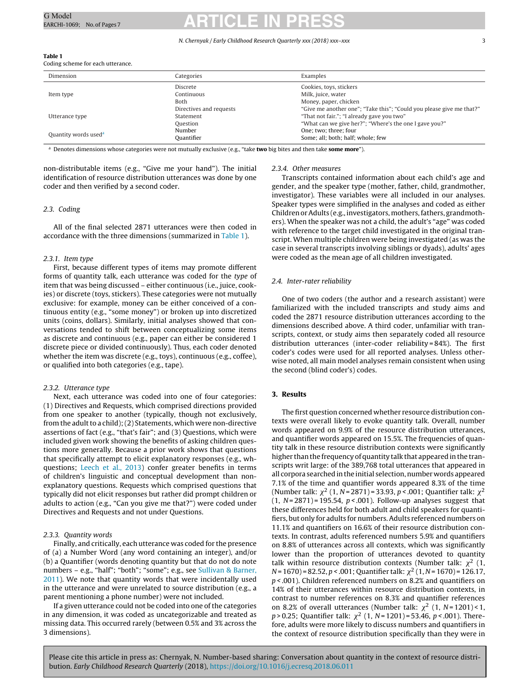#### N. Chernyak / Early Childhood Research Quarterly xxx (2018) xxx–xxx 3

#### **Table 1**

Coding scheme for each utterance.

| Dimension                        | Categories              | Examples                                                             |  |
|----------------------------------|-------------------------|----------------------------------------------------------------------|--|
|                                  | Discrete                | Cookies, toys, stickers                                              |  |
| Item type                        | Continuous              | Milk, juice, water                                                   |  |
|                                  | Both                    | Money, paper, chicken                                                |  |
|                                  | Directives and requests | "Give me another one"; "Take this"; "Could you please give me that?" |  |
| Utterance type                   | Statement               | "That not fair."; "I already gave you two"                           |  |
|                                  | Ouestion                | "What can we give her?"; "Where's the one I gave you?"               |  |
|                                  | Number                  | One: two: three: four                                                |  |
| Quantity words used <sup>a</sup> | Ouantifier              | Some; all; both; half; whole; few                                    |  |

<sup>a</sup> Denotes dimensions whose categories were not mutually exclusive (e.g., "take **two** big bites and then take **some more**").

non-distributable items (e.g., "Give me your hand"). The initial identification of resource distribution utterances was done by one coder and then verified by a second coder.

#### 2.3. Coding

All of the final selected 2871 utterances were then coded in accordance with the three dimensions (summarized in Table 1).

#### 2.3.1. Item type

First, because different types of items may promote different forms of quantity talk, each utterance was coded for the type of item that was being discussed – either continuous (i.e., juice, cookies) or discrete (toys, stickers). These categories were not mutually exclusive: for example, money can be either conceived of a continuous entity (e.g., "some money") or broken up into discretized units (coins, dollars). Similarly, initial analyses showed that conversations tended to shift between conceptualizing some items as discrete and continuous (e.g., paper can either be considered 1 discrete piece or divided continuously). Thus, each coder denoted whether the item was discrete (e.g., toys), continuous (e.g., coffee), or qualified into both categories (e.g., tape).

#### 2.3.2. Utterance type

Next, each utterance was coded into one of four categories: (1) Directives and Requests, which comprised directions provided from one speaker to another (typically, though not exclusively, from the adult to a child); (2) Statements, which were non-directive assertions of fact (e.g., "that's fair"; and (3) Questions, which were included given work showing the benefits of asking children questions more generally. Because a prior work shows that questions that specifically attempt to elicit explanatory responses (e.g., whquestions; [Leech](#page-5-0) et [al.,](#page-5-0) [2013\)](#page-5-0) confer greater benefits in terms of children's linguistic and conceptual development than nonexplanatory questions. Requests which comprised questions that typically did not elicit responses but rather did prompt children or adults to action (e.g., "Can you give me that?") were coded under Directives and Requests and not under Questions.

#### 2.3.3. Quantity words

Finally, and critically, each utterance was coded for the presence of (a) a Number Word (any word containing an integer), and/or (b) a Quantifier (words denoting quantity but that do not do note numbers – e.g., "half"; "both"; "some"; e.g., see [Sullivan](#page-6-0) [&](#page-6-0) [Barner,](#page-6-0) [2011\).](#page-6-0) We note that quantity words that were incidentally used in the utterance and were unrelated to source distribution (e.g., a parent mentioning a phone number) were not included.

If a given utterance could not be coded into one of the categories in any dimension, it was coded as uncategorizable and treated as missing data. This occurred rarely (between 0.5% and 3% across the 3 dimensions).

#### 2.3.4. Other measures

Transcripts contained information about each child's age and gender, and the speaker type (mother, father, child, grandmother, investigator). These variables were all included in our analyses. Speaker types were simplified in the analyses and coded as either Children or Adults (e.g., investigators, mothers, fathers, grandmothers). When the speaker was not a child, the adult's "age" was coded with reference to the target child investigated in the original transcript. When multiple children were being investigated (as was the case in several transcripts involving siblings or dyads), adults' ages were coded as the mean age of all children investigated.

#### 2.4. Inter-rater reliability

One of two coders (the author and a research assistant) were familiarized with the included transcripts and study aims and coded the 2871 resource distribution utterances according to the dimensions described above. A third coder, unfamiliar with transcripts, context, or study aims then separately coded all resource distribution utterances (inter-coder reliability = 84%). The first coder's codes were used for all reported analyses. Unless otherwise noted, all main model analyses remain consistent when using the second (blind coder's) codes.

#### **3. Results**

The first question concerned whether resource distribution contexts were overall likely to evoke quantity talk. Overall, number words appeared on 9.9% of the resource distribution utterances, and quantifier words appeared on 15.5%. The frequencies of quantity talk in these resource distribution contexts were significantly higher than the frequency of quantity talk that appeared in the transcripts writ large: of the 389,768 total utterances that appeared in all corpora searched in the initial selection, number words appeared 7.1% of the time and quantifier words appeared 8.3% of the time (Number talk:  $\chi^2$  (1, N = 2871) = 33.93, p < .001; Quantifier talk:  $\chi^2$  $(1, N=2871)$  = 195.54,  $p < .001$ ). Follow-up analyses suggest that these differences held for both adult and child speakers for quantifiers, but only for adults for numbers.Adults referenced numbers on 11.1% and quantifiers on 16.6% of their resource distribution contexts. In contrast, adults referenced numbers 5.9% and quantifiers on 8.8% of utterances across all contexts, which was significantly lower than the proportion of utterances devoted to quantity talk within resource distribution contexts (Number talk:  $\chi^2$  (1,  $N = 1670$  = 82.52, p < .001; Quantifier talk:  $\chi^2$  (1, N = 1670) = 126.17, p < .001). Children referenced numbers on 8.2% and quantifiers on 14% of their utterances within resource distribution contexts, in contrast to number references on 8.3% and quantifier references on 8.2% of overall utterances (Number talk:  $\chi^2$  (1, N = 1201)<1, p > 0.25; Quantifier talk:  $\chi^2$  (1, N = 1201) = 53.46, p < .001). Therefore, adults were more likely to discuss numbers and quantifiers in the context of resource distribution specifically than they were in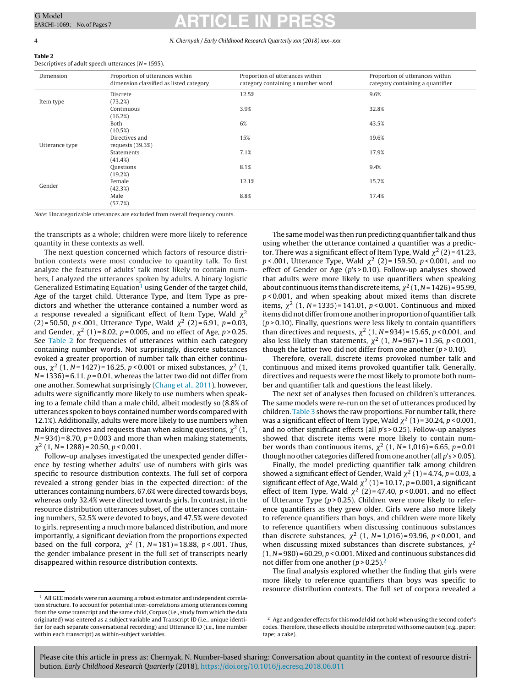# G Model GANORE IN PRESS

#### 4 N. Chernyak / Early Childhood Research Quarterly xxx (2018) xxx–xxx

**Table 2** Descriptives of adult speech utterances  $(N = 1595)$ .

| Dimension      | Proportion of utterances within<br>dimension classified as listed category | Proportion of utterances within<br>category containing a number word | Proportion of utterances within<br>category containing a quantifier |
|----------------|----------------------------------------------------------------------------|----------------------------------------------------------------------|---------------------------------------------------------------------|
|                | Discrete                                                                   | 12.5%                                                                | 9.6%                                                                |
| Item type      | (73.2%)                                                                    |                                                                      |                                                                     |
|                | Continuous                                                                 | 3.9%                                                                 | 32.8%                                                               |
|                | (16.2%)                                                                    |                                                                      |                                                                     |
|                | Both                                                                       | 6%                                                                   | 43.5%                                                               |
|                | (10.5%)                                                                    |                                                                      |                                                                     |
| Utterance type | Directives and                                                             | 15%                                                                  | 19.6%                                                               |
|                | requests $(39.3%)$                                                         |                                                                      |                                                                     |
|                | Statements                                                                 | 7.1%                                                                 | 17.9%                                                               |
|                | (41.4%)                                                                    |                                                                      |                                                                     |
|                | Questions                                                                  | 8.1%                                                                 | 9.4%                                                                |
|                | (19.2%)                                                                    |                                                                      |                                                                     |
| Gender         | Female                                                                     | 12.1%                                                                | 15.7%                                                               |
|                | (42.3%)                                                                    |                                                                      |                                                                     |
|                | Male                                                                       | 8.8%                                                                 | 17.4%                                                               |
|                | (57.7%)                                                                    |                                                                      |                                                                     |

Note: Uncategorizable utterances are excluded from overall frequency counts.

the transcripts as a whole; children were more likely to reference quantity in these contexts as well.

The next question concerned which factors of resource distribution contexts were most conducive to quantity talk. To first analyze the features of adults' talk most likely to contain numbers, I analyzed the utterances spoken by adults. A binary logistic Generalized Estimating Equation<sup>1</sup> using Gender of the target child, Age of the target child, Utterance Type, and Item Type as predictors and whether the utterance contained a number word as a response revealed a significant effect of Item Type, Wald  $\chi^2$ (2)=50.50, p<.001, Utterance Type, Wald  $\chi^2$  (2)=6.91, p=0.03, and Gender,  $\chi^2$  (1)=8.02, p=0.005, and no effect of Age, p>0.25. See Table 2 for frequencies of utterances within each category containing number words. Not surprisingly, discrete substances evoked a greater proportion of number talk than either continuous,  $\chi^2$  (1, N = 1427) = 16.25, p < 0.001 or mixed substances,  $\chi^2$  (1,  $N = 1336$  = 6.11,  $p = 0.01$ , whereas the latter two did not differ from one another. Somewhat surprisingly ([Chang](#page-5-0) et [al.,](#page-5-0) [2011\),](#page-5-0) however, adults were significantly more likely to use numbers when speaking to a female child than a male child, albeit modestly so (8.8% of utterances spoken to boys contained number words compared with 12.1%). Additionally, adults were more likely to use numbers when making directives and requests than when asking questions,  $\chi^2$  (1,  $N = 934$ ) = 8.70,  $p = 0.003$  and more than when making statements,  $\chi^2$  (1, N = 1288) = 20.50, p < 0.001.

Follow-up analyses investigated the unexpected gender difference by testing whether adults' use of numbers with girls was specific to resource distribution contexts. The full set of corpora revealed a strong gender bias in the expected direction: of the utterances containing numbers, 67.6% were directed towards boys, whereas only 32.4% were directed towards girls. In contrast, in the resource distribution utterances subset, of the utterances containing numbers, 52.5% were devoted to boys, and 47.5% were devoted to girls, representing a much more balanced distribution, and more importantly, a significant deviation from the proportions expected based on the full corpora,  $\chi^2$  (1, N=181)=18.88, p<.001. Thus, the gender imbalance present in the full set of transcripts nearly disappeared within resource distribution contexts.

The same model was then run predicting quantifier talk and thus using whether the utterance contained a quantifier was a predictor. There was a significant effect of Item Type, Wald  $\chi^2$  (2)=41.23, p < .001, Utterance Type, Wald  $\chi^2$  (2)=159.50, p < 0.001, and no effect of Gender or Age (p's > 0.10). Follow-up analyses showed that adults were more likely to use quantifiers when speaking about continuous items than discrete items,  $\chi^2$  (1, N = 1426) = 95.99,  $p$  < 0.001, and when speaking about mixed items than discrete items,  $\chi^2$  (1, N = 1335) = 141.01, p < 0.001. Continuous and mixed items did not differ from one another in proportion of quantifier talk  $(p > 0.10)$ . Finally, questions were less likely to contain quantifiers than directives and requests,  $\chi^2$  (1, N = 934) = 15.65, p < 0.001, and also less likely than statements,  $\chi^2$  (1, N=967)=11.56, p < 0.001, though the latter two did not differ from one another  $(p > 0.10)$ .

Therefore, overall, discrete items provoked number talk and continuous and mixed items provoked quantifier talk. Generally, directives and requests were the most likely to promote both number and quantifier talk and questions the least likely.

The next set of analyses then focused on children's utterances. The same models were re-run on the set of utterances produced by children. [Table](#page-4-0) 3 shows the raw proportions. For number talk, there was a significant effect of Item Type, Wald  $\chi^2$  (1) = 30.24, p < 0.001, and no other significant effects (all  $p$ 's > 0.25). Follow-up analyses showed that discrete items were more likely to contain number words than continuous items,  $\chi^2$  (1, N = 1,016) = 6.65, p = 0.01 though no other categories differed from one another (all p's > 0.05).

Finally, the model predicting quantifier talk among children showed a significant effect of Gender, Wald  $\chi^2$  (1)=4.74, p=0.03, a significant effect of Age, Wald  $\chi^2$  (1) = 10.17, p = 0.001, a significant effect of Item Type, Wald  $\chi^2$  (2)=47.40, p < 0.001, and no effect of Utterance Type ( $p > 0.25$ ). Children were more likely to reference quantifiers as they grew older. Girls were also more likely to reference quantifiers than boys, and children were more likely to reference quantifiers when discussing continuous substances than discrete substances,  $\chi^2$  (1, N = 1,016) = 93.96, p < 0.001, and when discussing mixed substances than discrete substances,  $\chi^2$  $(1, N = 980) = 60.29$ ,  $p < 0.001$ . Mixed and continuous substances did not differ from one another ( $p > 0.25$ ).<sup>2</sup>

The final analysis explored whether the finding that girls were more likely to reference quantifiers than boys was specific to resource distribution contexts. The full set of corpora revealed a

<sup>&</sup>lt;sup>1</sup> All GEE models were run assuming a robust estimator and independent correlation structure. To account for potential inter-correlations among utterances coming from the same transcript and the same child, Corpus (i.e., study from which the data originated) was entered as a subject variable and Transcript ID (i.e., unique identifier for each separate conversational recording) and Utterance ID (i.e., line number within each transcript) as within-subject variables.

 $^2\,$  Age and gender effects for this model did not hold when using the second coder's codes. Therefore, these effects should be interpreted with some caution (e.g., paper; tape; a cake).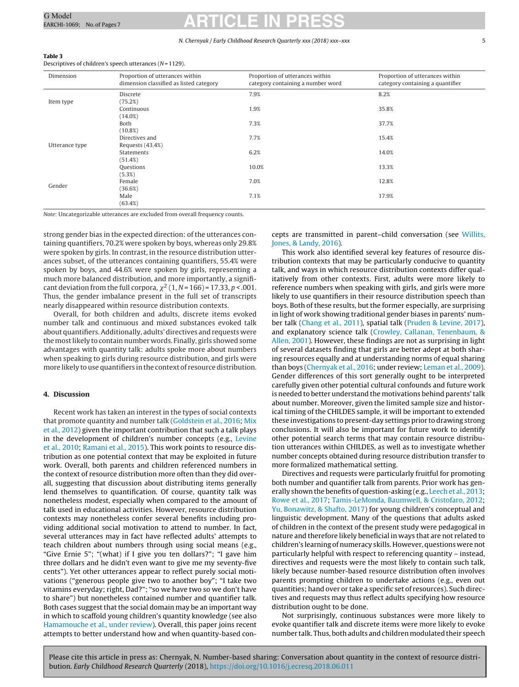#### N. Chernyak / Early Childhood Research Quarterly xxx (2018) xxx–xxx 5

<span id="page-4-0"></span>

Descriptives of children's speech utterances  $(N = 1129)$ .

| Dimension      | Proportion of utterances within<br>dimension classified as listed category | Proportion of utterances within<br>category containing a number word | Proportion of utterances within<br>category containing a quantifier |
|----------------|----------------------------------------------------------------------------|----------------------------------------------------------------------|---------------------------------------------------------------------|
|                | Discrete                                                                   | 7.9%                                                                 | 8.2%                                                                |
| Item type      | (75.2%)                                                                    |                                                                      |                                                                     |
|                | Continuous                                                                 | 1.9%                                                                 | 35.8%                                                               |
|                | (14.0%)                                                                    |                                                                      |                                                                     |
|                | Both                                                                       | 7.3%                                                                 | 37.7%                                                               |
|                | (10.8%)                                                                    |                                                                      |                                                                     |
|                | Directives and                                                             | 7.7%                                                                 | 15.4%                                                               |
| Utterance type | Requests (43.4%)                                                           |                                                                      |                                                                     |
|                | <b>Statements</b>                                                          | 6.2%                                                                 | 14.0%                                                               |
|                | (51.4%)                                                                    |                                                                      |                                                                     |
|                | Questions                                                                  | 10.0%                                                                | 13.3%                                                               |
|                | (5.3%)                                                                     |                                                                      |                                                                     |
| Gender         | Female                                                                     | 7.0%                                                                 | 12.8%                                                               |
|                | (36.6%)                                                                    |                                                                      |                                                                     |
|                | Male                                                                       | 7.1%                                                                 | 17.9%                                                               |
|                | (63.4%)                                                                    |                                                                      |                                                                     |

Note: Uncategorizable utterances are excluded from overall frequency counts.

strong gender bias in the expected direction: of the utterances containing quantifiers, 70.2% were spoken by boys, whereas only 29.8% were spoken by girls. In contrast, in the resource distribution utterances subset, of the utterances containing quantifiers, 55.4% were spoken by boys, and 44.6% were spoken by girls, representing a much more balanced distribution, and more importantly, a significant deviation from the full corpora,  $\chi^2$  (1, N = 166) = 17.33, p < .001. Thus, the gender imbalance present in the full set of transcripts nearly disappeared within resource distribution contexts.

Overall, for both children and adults, discrete items evoked number talk and continuous and mixed substances evoked talk about quantifiers.Additionally, adults' directives and requests were the most likely to contain number words. Finally, girls showed some advantages with quantity talk: adults spoke more about numbers when speaking to girls during resource distribution, and girls were more likely to use quantifiers in the context of resource distribution.

#### **4. Discussion**

Recent work has taken an interest in the types of social contexts that promote quantity and number talk ([Goldstein](#page-5-0) et [al.,](#page-5-0) [2016;](#page-5-0) [Mix](#page-5-0) et [al.,](#page-5-0) [2012\)](#page-5-0) given the important contribution that such a talk plays in the development of children's number concepts (e.g., [Levine](#page-5-0) et [al.,](#page-5-0) [2010;](#page-5-0) [Ramani](#page-5-0) et [al.,](#page-5-0) [2015\).](#page-5-0) This work points to resource distribution as one potential context that may be exploited in future work. Overall, both parents and children referenced numbers in the context of resource distribution more often than they did overall, suggesting that discussion about distributing items generally lend themselves to quantification. Of course, quantity talk was nonetheless modest, especially when compared to the amount of talk used in educational activities. However, resource distribution contexts may nonetheless confer several benefits including providing additional social motivation to attend to number. In fact, several utterances may in fact have reflected adults' attempts to teach children about numbers through using social means (e.g., "Give Ernie 5"; "(what) if I give you ten dollars?"; "I gave him three dollars and he didn't even want to give me my seventy-five cents"). Yet other utterances appear to reflect purely social motivations ("generous people give two to another boy"; "I take two vitamins everyday; right, Dad?"; "so we have two so we don't have to share") but nonetheless contained number and quantifier talk. Both cases suggest that the social domain may be an important way in which to scaffold young children's quantity knowledge (see also [Hamamouche](#page-5-0) et [al.,](#page-5-0) [under](#page-5-0) [review\).](#page-5-0) Overall, this paper joins recent attempts to better understand how and when quantity-based concepts are transmitted in parent–child conversation (see [Willits,](#page-6-0) [Jones,](#page-6-0) [&](#page-6-0) [Landy,](#page-6-0) [2016\).](#page-6-0)

This work also identified several key features of resource distribution contexts that may be particularly conducive to quantity talk, and ways in which resource distribution contexts differ qualitatively from other contexts. First, adults were more likely to reference numbers when speaking with girls, and girls were more likely to use quantifiers in their resource distribution speech than boys. Both of these results, but the former especially, are surprising in light of work showing traditional gender biases in parents' number talk [\(Chang](#page-5-0) et [al.,](#page-5-0) [2011\),](#page-5-0) spatial talk ([Pruden](#page-5-0) [&](#page-5-0) [Levine,](#page-5-0) [2017\),](#page-5-0) and explanatory science talk ([Crowley,](#page-5-0) [Callanan,](#page-5-0) [Tenenbaum,](#page-5-0) [&](#page-5-0) [Allen,](#page-5-0) [2001\).](#page-5-0) However, these findings are not as surprising in light of several datasets finding that girls are better adept at both sharing resources equally and at understanding norms of equal sharing than boys ([Chernyak](#page-5-0) et [al.,](#page-5-0) [2016;](#page-5-0) under review; [Leman](#page-5-0) et [al.,](#page-5-0) [2009\).](#page-5-0) Gender differences of this sort generally ought to be interpreted carefully given other potential cultural confounds and future work is needed to better understand the motivations behind parents'talk about number. Moreover, given the limited sample size and historical timing of the CHILDES sample, it will be important to extended these investigations to present-day settings prior to drawing strong conclusions. It will also be important for future work to identify other potential search terms that may contain resource distribution utterances within CHILDES, as well as to investigate whether number concepts obtained during resource distribution transfer to more formalized mathematical setting.

Directives and requests were particularly fruitful for promoting both number and quantifier talk from parents. Prior work has generally shown the benefits of question-asking (e.g., [Leech](#page-5-0) et [al.,](#page-5-0) [2013;](#page-5-0) [Rowe](#page-5-0) et [al.,](#page-5-0) [2017;](#page-5-0) [Tamis-LeMonda,](#page-6-0) [Baumwell,](#page-6-0) [&](#page-6-0) [Cristofaro,](#page-6-0) [2012;](#page-6-0) [Yu,](#page-6-0) [Bonawitz,](#page-6-0) [&](#page-6-0) [Shafto,](#page-6-0) [2017\)](#page-6-0) for young children's conceptual and linguistic development. Many of the questions that adults asked of children in the context of the present study were pedagogical in nature and therefore likely beneficial in ways that are not related to children's learning of numeracy skills. However, questions were not particularly helpful with respect to referencing quantity – instead, directives and requests were the most likely to contain such talk, likely because number-based resource distribution often involves parents prompting children to undertake actions (e.g., even out quantities; hand over or take a specific set of resources). Such directives and requests may thus reflect adults specifying how resource distribution ought to be done.

Not surprisingly, continuous substances were more likely to evoke quantifier talk and discrete items were more likely to evoke number talk. Thus, both adults and childrenmodulated their speech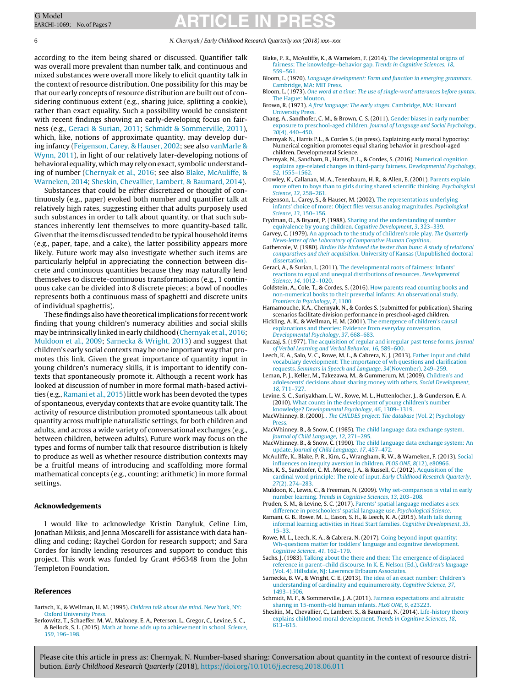6 N. Chernyak / Early Childhood Research Quarterly xxx (2018) xxx–xxx

according to the item being shared or discussed. Quantifier talk was overall more prevalent than number talk, and continuous and mixed substances were overall more likely to elicit quantity talk in the context of resource distribution. One possibility for this may be that our early concepts of resource distribution are built out of considering continuous extent (e.g., sharing juice, splitting a cookie), rather than exact equality. Such a possibility would be consistent with recent findings showing an early-developing focus on fairness (e.g., Geraci & Surian, 2011; Schmidt & Sommerville, 2011), which, like, notions of approximate quantity, may develop during infancy (Feigenson, Carey, & Hauser, 2002; see also [vanMarle](#page-6-0) [&](#page-6-0) [Wynn,](#page-6-0) [2011\),](#page-6-0) in light of our relatively later-developing notions of behavioral equality, which may rely on exact, symbolic understanding of number (Chernyak et al., 2016; see also Blake, McAuliffe, & Warneken, 2014; Sheskin, Chevallier, Lambert, & Baumard, 2014).

Substances that could be either discretized or thought of continuously (e.g., paper) evoked both number and quantifier talk at relatively high rates, suggesting either that adults purposely used such substances in order to talk about quantity, or that such substances inherently lent themselves to more quantity-based talk. Given that the items discussed tended to be typical household items (e.g., paper, tape, and a cake), the latter possibility appears more likely. Future work may also investigate whether such items are particularly helpful in appreciating the connection between discrete and continuous quantities because they may naturally lend themselves to discrete-continuous transformations (e.g., 1 continuous cake can be divided into 8 discrete pieces; a bowl of noodles represents both a continuous mass of spaghetti and discrete units of individual spaghettis).

These findings also have theoretical implications for recent work finding that young children's numeracy abilities and social skills may be intrinsically linked in early childhood (Chernyak et al., 2016; Muldoon et al., 2009; Sarnecka & Wright, 2013) and suggest that children's early social contexts may be one important way that promotes this link. Given the great importance of quantity input in young children's numeracy skills, it is important to identify contexts that spontaneously promote it. Although a recent work has looked at discussion of number in more formal math-based activities (e.g., Ramani et al., 2015) little work has been devoted the types of spontaneous, everyday contexts that are evoke quantity talk. The activity of resource distribution promoted spontaneous talk about quantity across multiple naturalistic settings, for both children and adults, and across a wide variety of conversational exchanges (e.g., between children, between adults). Future work may focus on the types and forms of number talk that resource distribution is likely to produce as well as whether resource distribution contexts may be a fruitful means of introducing and scaffolding more formal mathematical concepts (e.g., counting; arithmetic) in more formal settings.

#### **Acknowledgements**

I would like to acknowledge Kristin Danyluk, Celine Lim, Jonathan Miksis, and Jenna Moscarelli for assistance with data handling and coding; Raychel Gordon for research support; and Sara Cordes for kindly lending resources and support to conduct this project. This work was funded by Grant #56348 from the John Templeton Foundation.

#### **References**

- Bartsch, K., & Wellman, H. M. (1995). [Children](http://refhub.elsevier.com/S0885-2006(18)30084-X/sbref0005) [talk](http://refhub.elsevier.com/S0885-2006(18)30084-X/sbref0005) [about](http://refhub.elsevier.com/S0885-2006(18)30084-X/sbref0005) [the](http://refhub.elsevier.com/S0885-2006(18)30084-X/sbref0005) [mind](http://refhub.elsevier.com/S0885-2006(18)30084-X/sbref0005)[.](http://refhub.elsevier.com/S0885-2006(18)30084-X/sbref0005) [New](http://refhub.elsevier.com/S0885-2006(18)30084-X/sbref0005) [York,](http://refhub.elsevier.com/S0885-2006(18)30084-X/sbref0005) [NY:](http://refhub.elsevier.com/S0885-2006(18)30084-X/sbref0005) **[Oxford](http://refhub.elsevier.com/S0885-2006(18)30084-X/sbref0005) [University](http://refhub.elsevier.com/S0885-2006(18)30084-X/sbref0005) Press**
- Berkowitz, T., Schaeffer, M. W., Maloney, E. A., Peterson, L., Gregor, C., Levine, S. C., & Beilock, S. L. (2015). [Math](http://refhub.elsevier.com/S0885-2006(18)30084-X/sbref0010) [at](http://refhub.elsevier.com/S0885-2006(18)30084-X/sbref0010) [home](http://refhub.elsevier.com/S0885-2006(18)30084-X/sbref0010) [adds](http://refhub.elsevier.com/S0885-2006(18)30084-X/sbref0010) [up](http://refhub.elsevier.com/S0885-2006(18)30084-X/sbref0010) [to](http://refhub.elsevier.com/S0885-2006(18)30084-X/sbref0010) [achievement](http://refhub.elsevier.com/S0885-2006(18)30084-X/sbref0010) [in](http://refhub.elsevier.com/S0885-2006(18)30084-X/sbref0010) [school.](http://refhub.elsevier.com/S0885-2006(18)30084-X/sbref0010) [Science](http://refhub.elsevier.com/S0885-2006(18)30084-X/sbref0010)[,](http://refhub.elsevier.com/S0885-2006(18)30084-X/sbref0010) [350](http://refhub.elsevier.com/S0885-2006(18)30084-X/sbref0010)[,](http://refhub.elsevier.com/S0885-2006(18)30084-X/sbref0010) [196](http://refhub.elsevier.com/S0885-2006(18)30084-X/sbref0010)–[198.](http://refhub.elsevier.com/S0885-2006(18)30084-X/sbref0010)
- Blake, P. R., McAuliffe, K., & Warneken, F. (2014). [The](http://refhub.elsevier.com/S0885-2006(18)30084-X/sbref0015) [developmental](http://refhub.elsevier.com/S0885-2006(18)30084-X/sbref0015) [origins](http://refhub.elsevier.com/S0885-2006(18)30084-X/sbref0015) [of](http://refhub.elsevier.com/S0885-2006(18)30084-X/sbref0015) [fairness:](http://refhub.elsevier.com/S0885-2006(18)30084-X/sbref0015) [The](http://refhub.elsevier.com/S0885-2006(18)30084-X/sbref0015) [knowledge](http://refhub.elsevier.com/S0885-2006(18)30084-X/sbref0015)–[behavior](http://refhub.elsevier.com/S0885-2006(18)30084-X/sbref0015) [gap.](http://refhub.elsevier.com/S0885-2006(18)30084-X/sbref0015) [Trends](http://refhub.elsevier.com/S0885-2006(18)30084-X/sbref0015) [in](http://refhub.elsevier.com/S0885-2006(18)30084-X/sbref0015) [Cognitive](http://refhub.elsevier.com/S0885-2006(18)30084-X/sbref0015) [Sciences](http://refhub.elsevier.com/S0885-2006(18)30084-X/sbref0015)[,](http://refhub.elsevier.com/S0885-2006(18)30084-X/sbref0015) [18](http://refhub.elsevier.com/S0885-2006(18)30084-X/sbref0015), [559–561.](http://refhub.elsevier.com/S0885-2006(18)30084-X/sbref0015)
- Bloom, L. (1970). [Language](http://refhub.elsevier.com/S0885-2006(18)30084-X/sbref0020) [development:](http://refhub.elsevier.com/S0885-2006(18)30084-X/sbref0020) [Form](http://refhub.elsevier.com/S0885-2006(18)30084-X/sbref0020) [and](http://refhub.elsevier.com/S0885-2006(18)30084-X/sbref0020) [function](http://refhub.elsevier.com/S0885-2006(18)30084-X/sbref0020) [in](http://refhub.elsevier.com/S0885-2006(18)30084-X/sbref0020) [emerging](http://refhub.elsevier.com/S0885-2006(18)30084-X/sbref0020) [grammars](http://refhub.elsevier.com/S0885-2006(18)30084-X/sbref0020)[.](http://refhub.elsevier.com/S0885-2006(18)30084-X/sbref0020) [Cambridge,](http://refhub.elsevier.com/S0885-2006(18)30084-X/sbref0020) [MA:](http://refhub.elsevier.com/S0885-2006(18)30084-X/sbref0020) [MIT](http://refhub.elsevier.com/S0885-2006(18)30084-X/sbref0020) [Press.](http://refhub.elsevier.com/S0885-2006(18)30084-X/sbref0020)
- Bloom, L. (1973). [One](http://refhub.elsevier.com/S0885-2006(18)30084-X/sbref0025) [word](http://refhub.elsevier.com/S0885-2006(18)30084-X/sbref0025) [at](http://refhub.elsevier.com/S0885-2006(18)30084-X/sbref0025) [a](http://refhub.elsevier.com/S0885-2006(18)30084-X/sbref0025) [time:](http://refhub.elsevier.com/S0885-2006(18)30084-X/sbref0025) [The](http://refhub.elsevier.com/S0885-2006(18)30084-X/sbref0025) [use](http://refhub.elsevier.com/S0885-2006(18)30084-X/sbref0025) [of](http://refhub.elsevier.com/S0885-2006(18)30084-X/sbref0025) [single-word](http://refhub.elsevier.com/S0885-2006(18)30084-X/sbref0025) [utterances](http://refhub.elsevier.com/S0885-2006(18)30084-X/sbref0025) [before](http://refhub.elsevier.com/S0885-2006(18)30084-X/sbref0025) [syntax](http://refhub.elsevier.com/S0885-2006(18)30084-X/sbref0025)[.](http://refhub.elsevier.com/S0885-2006(18)30084-X/sbref0025) [The](http://refhub.elsevier.com/S0885-2006(18)30084-X/sbref0025) [Hague:](http://refhub.elsevier.com/S0885-2006(18)30084-X/sbref0025) [Mouton.](http://refhub.elsevier.com/S0885-2006(18)30084-X/sbref0025)
- Brown, R. (1973). [A](http://refhub.elsevier.com/S0885-2006(18)30084-X/sbref0030) [first](http://refhub.elsevier.com/S0885-2006(18)30084-X/sbref0030) [language:](http://refhub.elsevier.com/S0885-2006(18)30084-X/sbref0030) [The](http://refhub.elsevier.com/S0885-2006(18)30084-X/sbref0030) [early](http://refhub.elsevier.com/S0885-2006(18)30084-X/sbref0030) [stages](http://refhub.elsevier.com/S0885-2006(18)30084-X/sbref0030)[.](http://refhub.elsevier.com/S0885-2006(18)30084-X/sbref0030) [Cambridge,](http://refhub.elsevier.com/S0885-2006(18)30084-X/sbref0030) [MA:](http://refhub.elsevier.com/S0885-2006(18)30084-X/sbref0030) [Harvard](http://refhub.elsevier.com/S0885-2006(18)30084-X/sbref0030) [University](http://refhub.elsevier.com/S0885-2006(18)30084-X/sbref0030) [Press.](http://refhub.elsevier.com/S0885-2006(18)30084-X/sbref0030)
- Chang, A., Sandhofer, C. M., & Brown, C. S. (2011). [Gender](http://refhub.elsevier.com/S0885-2006(18)30084-X/sbref0035) [biases](http://refhub.elsevier.com/S0885-2006(18)30084-X/sbref0035) [in](http://refhub.elsevier.com/S0885-2006(18)30084-X/sbref0035) [early](http://refhub.elsevier.com/S0885-2006(18)30084-X/sbref0035) [number](http://refhub.elsevier.com/S0885-2006(18)30084-X/sbref0035) [exposure](http://refhub.elsevier.com/S0885-2006(18)30084-X/sbref0035) [to](http://refhub.elsevier.com/S0885-2006(18)30084-X/sbref0035) [preschool-aged](http://refhub.elsevier.com/S0885-2006(18)30084-X/sbref0035) [children.](http://refhub.elsevier.com/S0885-2006(18)30084-X/sbref0035) [Journal](http://refhub.elsevier.com/S0885-2006(18)30084-X/sbref0035) [of](http://refhub.elsevier.com/S0885-2006(18)30084-X/sbref0035) [Language](http://refhub.elsevier.com/S0885-2006(18)30084-X/sbref0035) [and](http://refhub.elsevier.com/S0885-2006(18)30084-X/sbref0035) [Social](http://refhub.elsevier.com/S0885-2006(18)30084-X/sbref0035) [Psychology](http://refhub.elsevier.com/S0885-2006(18)30084-X/sbref0035)[,](http://refhub.elsevier.com/S0885-2006(18)30084-X/sbref0035) [30](http://refhub.elsevier.com/S0885-2006(18)30084-X/sbref0035)[\(4\),](http://refhub.elsevier.com/S0885-2006(18)30084-X/sbref0035) [440–450.](http://refhub.elsevier.com/S0885-2006(18)30084-X/sbref0035)
- Chernyak N., Harris P.L., & Cordes S. (in press). Explaining early moral hypocrisy: Numerical cognition promotes equal sharing behavior in preschool-aged children. Developmental Science.
- Chernyak, N., Sandham, B., Harris, P. L., & Cordes, S. (2016). [Numerical](http://refhub.elsevier.com/S0885-2006(18)30084-X/sbref0045) [cognition](http://refhub.elsevier.com/S0885-2006(18)30084-X/sbref0045) [explains](http://refhub.elsevier.com/S0885-2006(18)30084-X/sbref0045) [age-related](http://refhub.elsevier.com/S0885-2006(18)30084-X/sbref0045) [changes](http://refhub.elsevier.com/S0885-2006(18)30084-X/sbref0045) [in](http://refhub.elsevier.com/S0885-2006(18)30084-X/sbref0045) [third-party](http://refhub.elsevier.com/S0885-2006(18)30084-X/sbref0045) [fairness.](http://refhub.elsevier.com/S0885-2006(18)30084-X/sbref0045) [Developmental](http://refhub.elsevier.com/S0885-2006(18)30084-X/sbref0045) [Psychology](http://refhub.elsevier.com/S0885-2006(18)30084-X/sbref0045)[,](http://refhub.elsevier.com/S0885-2006(18)30084-X/sbref0045) [52](http://refhub.elsevier.com/S0885-2006(18)30084-X/sbref0045)[,](http://refhub.elsevier.com/S0885-2006(18)30084-X/sbref0045) [1555–1562.](http://refhub.elsevier.com/S0885-2006(18)30084-X/sbref0045)
- Crowley, K., Callanan, M. A., Tenenbaum, H. R., & Allen, E. (2001). [Parents](http://refhub.elsevier.com/S0885-2006(18)30084-X/sbref0050) [explain](http://refhub.elsevier.com/S0885-2006(18)30084-X/sbref0050) [more](http://refhub.elsevier.com/S0885-2006(18)30084-X/sbref0050) [often](http://refhub.elsevier.com/S0885-2006(18)30084-X/sbref0050) [to](http://refhub.elsevier.com/S0885-2006(18)30084-X/sbref0050) [boys](http://refhub.elsevier.com/S0885-2006(18)30084-X/sbref0050) [than](http://refhub.elsevier.com/S0885-2006(18)30084-X/sbref0050) [to](http://refhub.elsevier.com/S0885-2006(18)30084-X/sbref0050) [girls](http://refhub.elsevier.com/S0885-2006(18)30084-X/sbref0050) [during](http://refhub.elsevier.com/S0885-2006(18)30084-X/sbref0050) [shared](http://refhub.elsevier.com/S0885-2006(18)30084-X/sbref0050) [scientific](http://refhub.elsevier.com/S0885-2006(18)30084-X/sbref0050) [thinking.](http://refhub.elsevier.com/S0885-2006(18)30084-X/sbref0050) [Psychological](http://refhub.elsevier.com/S0885-2006(18)30084-X/sbref0050) [Science](http://refhub.elsevier.com/S0885-2006(18)30084-X/sbref0050)[,](http://refhub.elsevier.com/S0885-2006(18)30084-X/sbref0050) [12](http://refhub.elsevier.com/S0885-2006(18)30084-X/sbref0050), [258–261.](http://refhub.elsevier.com/S0885-2006(18)30084-X/sbref0050)
- Feigenson, L., Carey, S., & Hauser, M. (2002). [The](http://refhub.elsevier.com/S0885-2006(18)30084-X/sbref0055) [representations](http://refhub.elsevier.com/S0885-2006(18)30084-X/sbref0055) [underlying](http://refhub.elsevier.com/S0885-2006(18)30084-X/sbref0055) [infants'](http://refhub.elsevier.com/S0885-2006(18)30084-X/sbref0055) [choice](http://refhub.elsevier.com/S0885-2006(18)30084-X/sbref0055) [of](http://refhub.elsevier.com/S0885-2006(18)30084-X/sbref0055) [more:](http://refhub.elsevier.com/S0885-2006(18)30084-X/sbref0055) [Object](http://refhub.elsevier.com/S0885-2006(18)30084-X/sbref0055) [files](http://refhub.elsevier.com/S0885-2006(18)30084-X/sbref0055) [versus](http://refhub.elsevier.com/S0885-2006(18)30084-X/sbref0055) [analog](http://refhub.elsevier.com/S0885-2006(18)30084-X/sbref0055) [magnitudes.](http://refhub.elsevier.com/S0885-2006(18)30084-X/sbref0055) [Psychological](http://refhub.elsevier.com/S0885-2006(18)30084-X/sbref0055) [Science](http://refhub.elsevier.com/S0885-2006(18)30084-X/sbref0055)[,](http://refhub.elsevier.com/S0885-2006(18)30084-X/sbref0055) [13](http://refhub.elsevier.com/S0885-2006(18)30084-X/sbref0055), [150–156.](http://refhub.elsevier.com/S0885-2006(18)30084-X/sbref0055)
- Frydman, O., & Bryant, P. (1988). [Sharing](http://refhub.elsevier.com/S0885-2006(18)30084-X/sbref0060) [and](http://refhub.elsevier.com/S0885-2006(18)30084-X/sbref0060) [the](http://refhub.elsevier.com/S0885-2006(18)30084-X/sbref0060) [understanding](http://refhub.elsevier.com/S0885-2006(18)30084-X/sbref0060) [of](http://refhub.elsevier.com/S0885-2006(18)30084-X/sbref0060) [number](http://refhub.elsevier.com/S0885-2006(18)30084-X/sbref0060) [equivalence](http://refhub.elsevier.com/S0885-2006(18)30084-X/sbref0060) [by](http://refhub.elsevier.com/S0885-2006(18)30084-X/sbref0060) [young](http://refhub.elsevier.com/S0885-2006(18)30084-X/sbref0060) [children.](http://refhub.elsevier.com/S0885-2006(18)30084-X/sbref0060) [Cognitive](http://refhub.elsevier.com/S0885-2006(18)30084-X/sbref0060) [Development](http://refhub.elsevier.com/S0885-2006(18)30084-X/sbref0060)[,](http://refhub.elsevier.com/S0885-2006(18)30084-X/sbref0060) [3](http://refhub.elsevier.com/S0885-2006(18)30084-X/sbref0060), [323](http://refhub.elsevier.com/S0885-2006(18)30084-X/sbref0060)–[339.](http://refhub.elsevier.com/S0885-2006(18)30084-X/sbref0060)
- Garvey, C. (1979). [An](http://refhub.elsevier.com/S0885-2006(18)30084-X/sbref0065) [approach](http://refhub.elsevier.com/S0885-2006(18)30084-X/sbref0065) [to](http://refhub.elsevier.com/S0885-2006(18)30084-X/sbref0065) [the](http://refhub.elsevier.com/S0885-2006(18)30084-X/sbref0065) [study](http://refhub.elsevier.com/S0885-2006(18)30084-X/sbref0065) [of](http://refhub.elsevier.com/S0885-2006(18)30084-X/sbref0065) [children's](http://refhub.elsevier.com/S0885-2006(18)30084-X/sbref0065) [role](http://refhub.elsevier.com/S0885-2006(18)30084-X/sbref0065) [play.](http://refhub.elsevier.com/S0885-2006(18)30084-X/sbref0065) [The](http://refhub.elsevier.com/S0885-2006(18)30084-X/sbref0065) [Quarterly](http://refhub.elsevier.com/S0885-2006(18)30084-X/sbref0065) [News-letter](http://refhub.elsevier.com/S0885-2006(18)30084-X/sbref0065) [of](http://refhub.elsevier.com/S0885-2006(18)30084-X/sbref0065) [the](http://refhub.elsevier.com/S0885-2006(18)30084-X/sbref0065) [Laboratory](http://refhub.elsevier.com/S0885-2006(18)30084-X/sbref0065) [of](http://refhub.elsevier.com/S0885-2006(18)30084-X/sbref0065) [Comparative](http://refhub.elsevier.com/S0885-2006(18)30084-X/sbref0065) [Human](http://refhub.elsevier.com/S0885-2006(18)30084-X/sbref0065) [Cognition](http://refhub.elsevier.com/S0885-2006(18)30084-X/sbref0065)[.](http://refhub.elsevier.com/S0885-2006(18)30084-X/sbref0065)
- Gathercole, V. (1980). [Birdies](http://refhub.elsevier.com/S0885-2006(18)30084-X/sbref0070) [like](http://refhub.elsevier.com/S0885-2006(18)30084-X/sbref0070) [birdseed](http://refhub.elsevier.com/S0885-2006(18)30084-X/sbref0070) [the](http://refhub.elsevier.com/S0885-2006(18)30084-X/sbref0070) [bester](http://refhub.elsevier.com/S0885-2006(18)30084-X/sbref0070) [than](http://refhub.elsevier.com/S0885-2006(18)30084-X/sbref0070) [buns:](http://refhub.elsevier.com/S0885-2006(18)30084-X/sbref0070) [A](http://refhub.elsevier.com/S0885-2006(18)30084-X/sbref0070) [study](http://refhub.elsevier.com/S0885-2006(18)30084-X/sbref0070) [of](http://refhub.elsevier.com/S0885-2006(18)30084-X/sbref0070) [relational](http://refhub.elsevier.com/S0885-2006(18)30084-X/sbref0070) [comparatives](http://refhub.elsevier.com/S0885-2006(18)30084-X/sbref0070) [and](http://refhub.elsevier.com/S0885-2006(18)30084-X/sbref0070) [their](http://refhub.elsevier.com/S0885-2006(18)30084-X/sbref0070) [acquisition](http://refhub.elsevier.com/S0885-2006(18)30084-X/sbref0070)[.](http://refhub.elsevier.com/S0885-2006(18)30084-X/sbref0070) [University](http://refhub.elsevier.com/S0885-2006(18)30084-X/sbref0070) [of](http://refhub.elsevier.com/S0885-2006(18)30084-X/sbref0070) [Kansas](http://refhub.elsevier.com/S0885-2006(18)30084-X/sbref0070) [\(Unpublished](http://refhub.elsevier.com/S0885-2006(18)30084-X/sbref0070) [doctoral](http://refhub.elsevier.com/S0885-2006(18)30084-X/sbref0070) [dissertation\).](http://refhub.elsevier.com/S0885-2006(18)30084-X/sbref0070)
- Geraci, A., & Surian, L. (2011). [The](http://refhub.elsevier.com/S0885-2006(18)30084-X/sbref0075) [developmental](http://refhub.elsevier.com/S0885-2006(18)30084-X/sbref0075) [roots](http://refhub.elsevier.com/S0885-2006(18)30084-X/sbref0075) [of](http://refhub.elsevier.com/S0885-2006(18)30084-X/sbref0075) [fairness:](http://refhub.elsevier.com/S0885-2006(18)30084-X/sbref0075) [Infants'](http://refhub.elsevier.com/S0885-2006(18)30084-X/sbref0075) [reactions](http://refhub.elsevier.com/S0885-2006(18)30084-X/sbref0075) [to](http://refhub.elsevier.com/S0885-2006(18)30084-X/sbref0075) [equal](http://refhub.elsevier.com/S0885-2006(18)30084-X/sbref0075) [and](http://refhub.elsevier.com/S0885-2006(18)30084-X/sbref0075) [unequal](http://refhub.elsevier.com/S0885-2006(18)30084-X/sbref0075) [distributions](http://refhub.elsevier.com/S0885-2006(18)30084-X/sbref0075) [of](http://refhub.elsevier.com/S0885-2006(18)30084-X/sbref0075) [resources.](http://refhub.elsevier.com/S0885-2006(18)30084-X/sbref0075) [Developmental](http://refhub.elsevier.com/S0885-2006(18)30084-X/sbref0075) [Science](http://refhub.elsevier.com/S0885-2006(18)30084-X/sbref0075)[,](http://refhub.elsevier.com/S0885-2006(18)30084-X/sbref0075) [14](http://refhub.elsevier.com/S0885-2006(18)30084-X/sbref0075), [1012](http://refhub.elsevier.com/S0885-2006(18)30084-X/sbref0075)–[1020.](http://refhub.elsevier.com/S0885-2006(18)30084-X/sbref0075)
- Goldstein, A., Cole, T., & Cordes, S. (2016). [How](http://refhub.elsevier.com/S0885-2006(18)30084-X/sbref0080) [parents](http://refhub.elsevier.com/S0885-2006(18)30084-X/sbref0080) [read](http://refhub.elsevier.com/S0885-2006(18)30084-X/sbref0080) [counting](http://refhub.elsevier.com/S0885-2006(18)30084-X/sbref0080) [books](http://refhub.elsevier.com/S0885-2006(18)30084-X/sbref0080) [and](http://refhub.elsevier.com/S0885-2006(18)30084-X/sbref0080) [non-numerical](http://refhub.elsevier.com/S0885-2006(18)30084-X/sbref0080) [books](http://refhub.elsevier.com/S0885-2006(18)30084-X/sbref0080) [to](http://refhub.elsevier.com/S0885-2006(18)30084-X/sbref0080) [their](http://refhub.elsevier.com/S0885-2006(18)30084-X/sbref0080) [preverbal](http://refhub.elsevier.com/S0885-2006(18)30084-X/sbref0080) [infants:](http://refhub.elsevier.com/S0885-2006(18)30084-X/sbref0080) [An](http://refhub.elsevier.com/S0885-2006(18)30084-X/sbref0080) [observational](http://refhub.elsevier.com/S0885-2006(18)30084-X/sbref0080) [study.](http://refhub.elsevier.com/S0885-2006(18)30084-X/sbref0080) [Frontiers](http://refhub.elsevier.com/S0885-2006(18)30084-X/sbref0080) [in](http://refhub.elsevier.com/S0885-2006(18)30084-X/sbref0080) [Psychology](http://refhub.elsevier.com/S0885-2006(18)30084-X/sbref0080)[,](http://refhub.elsevier.com/S0885-2006(18)30084-X/sbref0080) [7](http://refhub.elsevier.com/S0885-2006(18)30084-X/sbref0080)[,](http://refhub.elsevier.com/S0885-2006(18)30084-X/sbref0080) [1100.](http://refhub.elsevier.com/S0885-2006(18)30084-X/sbref0080)
- Hamamouche, K.A., Chernyak, N., & Cordes S. (submitted for publication). Sharing scenarios facilitate division performance in preschool-aged children.
- Hickling, A. K., & Wellman, H. M. (2001). [The](http://refhub.elsevier.com/S0885-2006(18)30084-X/sbref0090) [emergence](http://refhub.elsevier.com/S0885-2006(18)30084-X/sbref0090) [of](http://refhub.elsevier.com/S0885-2006(18)30084-X/sbref0090) [children's](http://refhub.elsevier.com/S0885-2006(18)30084-X/sbref0090) [causal](http://refhub.elsevier.com/S0885-2006(18)30084-X/sbref0090) [explanations](http://refhub.elsevier.com/S0885-2006(18)30084-X/sbref0090) [and](http://refhub.elsevier.com/S0885-2006(18)30084-X/sbref0090) [theories:](http://refhub.elsevier.com/S0885-2006(18)30084-X/sbref0090) [Evidence](http://refhub.elsevier.com/S0885-2006(18)30084-X/sbref0090) [from](http://refhub.elsevier.com/S0885-2006(18)30084-X/sbref0090) [everyday](http://refhub.elsevier.com/S0885-2006(18)30084-X/sbref0090) [conversation.](http://refhub.elsevier.com/S0885-2006(18)30084-X/sbref0090) [Developmental](http://refhub.elsevier.com/S0885-2006(18)30084-X/sbref0090) [Psychology](http://refhub.elsevier.com/S0885-2006(18)30084-X/sbref0090)[,](http://refhub.elsevier.com/S0885-2006(18)30084-X/sbref0090) [37](http://refhub.elsevier.com/S0885-2006(18)30084-X/sbref0090)[,](http://refhub.elsevier.com/S0885-2006(18)30084-X/sbref0090) [668](http://refhub.elsevier.com/S0885-2006(18)30084-X/sbref0090)–[683.](http://refhub.elsevier.com/S0885-2006(18)30084-X/sbref0090)
- Kuczaj, S. (1977). [The](http://refhub.elsevier.com/S0885-2006(18)30084-X/sbref0095) [acquisition](http://refhub.elsevier.com/S0885-2006(18)30084-X/sbref0095) [of](http://refhub.elsevier.com/S0885-2006(18)30084-X/sbref0095) [regular](http://refhub.elsevier.com/S0885-2006(18)30084-X/sbref0095) [and](http://refhub.elsevier.com/S0885-2006(18)30084-X/sbref0095) [irregular](http://refhub.elsevier.com/S0885-2006(18)30084-X/sbref0095) [past](http://refhub.elsevier.com/S0885-2006(18)30084-X/sbref0095) [tense](http://refhub.elsevier.com/S0885-2006(18)30084-X/sbref0095) [forms.](http://refhub.elsevier.com/S0885-2006(18)30084-X/sbref0095) [Journal](http://refhub.elsevier.com/S0885-2006(18)30084-X/sbref0095) [of](http://refhub.elsevier.com/S0885-2006(18)30084-X/sbref0095) [Verbal](http://refhub.elsevier.com/S0885-2006(18)30084-X/sbref0095) [Learning](http://refhub.elsevier.com/S0885-2006(18)30084-X/sbref0095) [and](http://refhub.elsevier.com/S0885-2006(18)30084-X/sbref0095) [Verbal](http://refhub.elsevier.com/S0885-2006(18)30084-X/sbref0095) [Behavior](http://refhub.elsevier.com/S0885-2006(18)30084-X/sbref0095)[,](http://refhub.elsevier.com/S0885-2006(18)30084-X/sbref0095) [16](http://refhub.elsevier.com/S0885-2006(18)30084-X/sbref0095)[,](http://refhub.elsevier.com/S0885-2006(18)30084-X/sbref0095) [589–600.](http://refhub.elsevier.com/S0885-2006(18)30084-X/sbref0095)
- Leech, K. A., Salo, V. C., Rowe, M. L., & Cabrera, N. J. (2013). [Father](http://refhub.elsevier.com/S0885-2006(18)30084-X/sbref0100) [input](http://refhub.elsevier.com/S0885-2006(18)30084-X/sbref0100) [and](http://refhub.elsevier.com/S0885-2006(18)30084-X/sbref0100) [child](http://refhub.elsevier.com/S0885-2006(18)30084-X/sbref0100) [vocabulary](http://refhub.elsevier.com/S0885-2006(18)30084-X/sbref0100) [development:](http://refhub.elsevier.com/S0885-2006(18)30084-X/sbref0100) [The](http://refhub.elsevier.com/S0885-2006(18)30084-X/sbref0100) [importance](http://refhub.elsevier.com/S0885-2006(18)30084-X/sbref0100) [of](http://refhub.elsevier.com/S0885-2006(18)30084-X/sbref0100) [wh](http://refhub.elsevier.com/S0885-2006(18)30084-X/sbref0100) [questions](http://refhub.elsevier.com/S0885-2006(18)30084-X/sbref0100) [and](http://refhub.elsevier.com/S0885-2006(18)30084-X/sbref0100) [clarification](http://refhub.elsevier.com/S0885-2006(18)30084-X/sbref0100) [requests.](http://refhub.elsevier.com/S0885-2006(18)30084-X/sbref0100) [Seminars](http://refhub.elsevier.com/S0885-2006(18)30084-X/sbref0100) [in](http://refhub.elsevier.com/S0885-2006(18)30084-X/sbref0100) [Speech](http://refhub.elsevier.com/S0885-2006(18)30084-X/sbref0100) [and](http://refhub.elsevier.com/S0885-2006(18)30084-X/sbref0100) [Language](http://refhub.elsevier.com/S0885-2006(18)30084-X/sbref0100)[,](http://refhub.elsevier.com/S0885-2006(18)30084-X/sbref0100) [34](http://refhub.elsevier.com/S0885-2006(18)30084-X/sbref0100)[\(November\),](http://refhub.elsevier.com/S0885-2006(18)30084-X/sbref0100) [249–259.](http://refhub.elsevier.com/S0885-2006(18)30084-X/sbref0100)
- Leman, P. J., Keller, M., Takezawa, M., & Gummerum, M. (2009). [Children's](http://refhub.elsevier.com/S0885-2006(18)30084-X/sbref0105) [and](http://refhub.elsevier.com/S0885-2006(18)30084-X/sbref0105) [adolescents'](http://refhub.elsevier.com/S0885-2006(18)30084-X/sbref0105) [decisions](http://refhub.elsevier.com/S0885-2006(18)30084-X/sbref0105) [about](http://refhub.elsevier.com/S0885-2006(18)30084-X/sbref0105) [sharing](http://refhub.elsevier.com/S0885-2006(18)30084-X/sbref0105) [money](http://refhub.elsevier.com/S0885-2006(18)30084-X/sbref0105) [with](http://refhub.elsevier.com/S0885-2006(18)30084-X/sbref0105) [others.](http://refhub.elsevier.com/S0885-2006(18)30084-X/sbref0105) [Social](http://refhub.elsevier.com/S0885-2006(18)30084-X/sbref0105) [Development](http://refhub.elsevier.com/S0885-2006(18)30084-X/sbref0105)[,](http://refhub.elsevier.com/S0885-2006(18)30084-X/sbref0105) [18](http://refhub.elsevier.com/S0885-2006(18)30084-X/sbref0105)[,](http://refhub.elsevier.com/S0885-2006(18)30084-X/sbref0105) [711–727.](http://refhub.elsevier.com/S0885-2006(18)30084-X/sbref0105)

Levine, S. C., Suriyakham, L. W., Rowe, M. L., Huttenlocher, J., & Gunderson, E. A. (2010). [What](http://refhub.elsevier.com/S0885-2006(18)30084-X/sbref0110) [counts](http://refhub.elsevier.com/S0885-2006(18)30084-X/sbref0110) [in](http://refhub.elsevier.com/S0885-2006(18)30084-X/sbref0110) [the](http://refhub.elsevier.com/S0885-2006(18)30084-X/sbref0110) [development](http://refhub.elsevier.com/S0885-2006(18)30084-X/sbref0110) [of](http://refhub.elsevier.com/S0885-2006(18)30084-X/sbref0110) [young](http://refhub.elsevier.com/S0885-2006(18)30084-X/sbref0110) [children's](http://refhub.elsevier.com/S0885-2006(18)30084-X/sbref0110) [number](http://refhub.elsevier.com/S0885-2006(18)30084-X/sbref0110) [knowledge?](http://refhub.elsevier.com/S0885-2006(18)30084-X/sbref0110) [Developmental](http://refhub.elsevier.com/S0885-2006(18)30084-X/sbref0110) [Psychology](http://refhub.elsevier.com/S0885-2006(18)30084-X/sbref0110)[,](http://refhub.elsevier.com/S0885-2006(18)30084-X/sbref0110) [46](http://refhub.elsevier.com/S0885-2006(18)30084-X/sbref0110)[,](http://refhub.elsevier.com/S0885-2006(18)30084-X/sbref0110) [1309–1319.](http://refhub.elsevier.com/S0885-2006(18)30084-X/sbref0110)

- MacWhinney, B. (2000). [.](http://refhub.elsevier.com/S0885-2006(18)30084-X/sbref0115) [The](http://refhub.elsevier.com/S0885-2006(18)30084-X/sbref0115) [CHILDES](http://refhub.elsevier.com/S0885-2006(18)30084-X/sbref0115) [project:](http://refhub.elsevier.com/S0885-2006(18)30084-X/sbref0115) [The](http://refhub.elsevier.com/S0885-2006(18)30084-X/sbref0115) [database](http://refhub.elsevier.com/S0885-2006(18)30084-X/sbref0115) [\(Vol.](http://refhub.elsevier.com/S0885-2006(18)30084-X/sbref0115) [2\)](http://refhub.elsevier.com/S0885-2006(18)30084-X/sbref0115) [Psychology](http://refhub.elsevier.com/S0885-2006(18)30084-X/sbref0115) **Press**
- MacWhinney, B., & Snow, C. (1985). [The](http://refhub.elsevier.com/S0885-2006(18)30084-X/sbref0120) [child](http://refhub.elsevier.com/S0885-2006(18)30084-X/sbref0120) [language](http://refhub.elsevier.com/S0885-2006(18)30084-X/sbref0120) [data](http://refhub.elsevier.com/S0885-2006(18)30084-X/sbref0120) [exchange](http://refhub.elsevier.com/S0885-2006(18)30084-X/sbref0120) [system.](http://refhub.elsevier.com/S0885-2006(18)30084-X/sbref0120) [Journal](http://refhub.elsevier.com/S0885-2006(18)30084-X/sbref0120) [of](http://refhub.elsevier.com/S0885-2006(18)30084-X/sbref0120) [Child](http://refhub.elsevier.com/S0885-2006(18)30084-X/sbref0120) [Language](http://refhub.elsevier.com/S0885-2006(18)30084-X/sbref0120)[,](http://refhub.elsevier.com/S0885-2006(18)30084-X/sbref0120) [12](http://refhub.elsevier.com/S0885-2006(18)30084-X/sbref0120)[,](http://refhub.elsevier.com/S0885-2006(18)30084-X/sbref0120) [271–295.](http://refhub.elsevier.com/S0885-2006(18)30084-X/sbref0120)
- MacWhinney, B., & Snow, C. (1990). [The](http://refhub.elsevier.com/S0885-2006(18)30084-X/sbref0125) [child](http://refhub.elsevier.com/S0885-2006(18)30084-X/sbref0125) [language](http://refhub.elsevier.com/S0885-2006(18)30084-X/sbref0125) [data](http://refhub.elsevier.com/S0885-2006(18)30084-X/sbref0125) [exchange](http://refhub.elsevier.com/S0885-2006(18)30084-X/sbref0125) [system:](http://refhub.elsevier.com/S0885-2006(18)30084-X/sbref0125) [An](http://refhub.elsevier.com/S0885-2006(18)30084-X/sbref0125) [update.](http://refhub.elsevier.com/S0885-2006(18)30084-X/sbref0125) [Journal](http://refhub.elsevier.com/S0885-2006(18)30084-X/sbref0125) [of](http://refhub.elsevier.com/S0885-2006(18)30084-X/sbref0125) [Child](http://refhub.elsevier.com/S0885-2006(18)30084-X/sbref0125) [Language](http://refhub.elsevier.com/S0885-2006(18)30084-X/sbref0125)[,](http://refhub.elsevier.com/S0885-2006(18)30084-X/sbref0125) [17](http://refhub.elsevier.com/S0885-2006(18)30084-X/sbref0125)[,](http://refhub.elsevier.com/S0885-2006(18)30084-X/sbref0125) [457](http://refhub.elsevier.com/S0885-2006(18)30084-X/sbref0125)–[472.](http://refhub.elsevier.com/S0885-2006(18)30084-X/sbref0125)
- McAuliffe, K., Blake, P. R., Kim, G., Wrangham, R. W., & Warneken, F. (2013). [Social](http://refhub.elsevier.com/S0885-2006(18)30084-X/sbref0130) [influences](http://refhub.elsevier.com/S0885-2006(18)30084-X/sbref0130) [on](http://refhub.elsevier.com/S0885-2006(18)30084-X/sbref0130) [inequity](http://refhub.elsevier.com/S0885-2006(18)30084-X/sbref0130) [aversion](http://refhub.elsevier.com/S0885-2006(18)30084-X/sbref0130) [in](http://refhub.elsevier.com/S0885-2006(18)30084-X/sbref0130) [children.](http://refhub.elsevier.com/S0885-2006(18)30084-X/sbref0130) [PLOS](http://refhub.elsevier.com/S0885-2006(18)30084-X/sbref0130) [ONE](http://refhub.elsevier.com/S0885-2006(18)30084-X/sbref0130)[,](http://refhub.elsevier.com/S0885-2006(18)30084-X/sbref0130) [8](http://refhub.elsevier.com/S0885-2006(18)30084-X/sbref0130)[\(12\),](http://refhub.elsevier.com/S0885-2006(18)30084-X/sbref0130) [e80966.](http://refhub.elsevier.com/S0885-2006(18)30084-X/sbref0130)
- Mix, K. S., Sandhofer, C. M., Moore, J. A., & Russell, C. (2012). [Acquisition](http://refhub.elsevier.com/S0885-2006(18)30084-X/sbref0135) [of](http://refhub.elsevier.com/S0885-2006(18)30084-X/sbref0135) [the](http://refhub.elsevier.com/S0885-2006(18)30084-X/sbref0135) [cardinal](http://refhub.elsevier.com/S0885-2006(18)30084-X/sbref0135) [word](http://refhub.elsevier.com/S0885-2006(18)30084-X/sbref0135) [principle:](http://refhub.elsevier.com/S0885-2006(18)30084-X/sbref0135) [The](http://refhub.elsevier.com/S0885-2006(18)30084-X/sbref0135) [role](http://refhub.elsevier.com/S0885-2006(18)30084-X/sbref0135) [of](http://refhub.elsevier.com/S0885-2006(18)30084-X/sbref0135) [input.](http://refhub.elsevier.com/S0885-2006(18)30084-X/sbref0135) [Early](http://refhub.elsevier.com/S0885-2006(18)30084-X/sbref0135) [Childhood](http://refhub.elsevier.com/S0885-2006(18)30084-X/sbref0135) [Research](http://refhub.elsevier.com/S0885-2006(18)30084-X/sbref0135) [Quarterly](http://refhub.elsevier.com/S0885-2006(18)30084-X/sbref0135)[,](http://refhub.elsevier.com/S0885-2006(18)30084-X/sbref0135) [27](http://refhub.elsevier.com/S0885-2006(18)30084-X/sbref0135)[\(2\),](http://refhub.elsevier.com/S0885-2006(18)30084-X/sbref0135) [274–283.](http://refhub.elsevier.com/S0885-2006(18)30084-X/sbref0135)
- Muldoon, K., Lewis, C., & Freeman, N. (2009). [Why](http://refhub.elsevier.com/S0885-2006(18)30084-X/sbref0140) [set-comparison](http://refhub.elsevier.com/S0885-2006(18)30084-X/sbref0140) [is](http://refhub.elsevier.com/S0885-2006(18)30084-X/sbref0140) [vital](http://refhub.elsevier.com/S0885-2006(18)30084-X/sbref0140) [in](http://refhub.elsevier.com/S0885-2006(18)30084-X/sbref0140) [early](http://refhub.elsevier.com/S0885-2006(18)30084-X/sbref0140) [number](http://refhub.elsevier.com/S0885-2006(18)30084-X/sbref0140) [learning.](http://refhub.elsevier.com/S0885-2006(18)30084-X/sbref0140) [Trends](http://refhub.elsevier.com/S0885-2006(18)30084-X/sbref0140) [in](http://refhub.elsevier.com/S0885-2006(18)30084-X/sbref0140) [Cognitive](http://refhub.elsevier.com/S0885-2006(18)30084-X/sbref0140) [Sciences](http://refhub.elsevier.com/S0885-2006(18)30084-X/sbref0140), [13](http://refhub.elsevier.com/S0885-2006(18)30084-X/sbref0140)[,](http://refhub.elsevier.com/S0885-2006(18)30084-X/sbref0140) [203](http://refhub.elsevier.com/S0885-2006(18)30084-X/sbref0140)–[208.](http://refhub.elsevier.com/S0885-2006(18)30084-X/sbref0140)
- Pruden, S. M., & Levine, S. C. (2017). [Parents'](http://refhub.elsevier.com/S0885-2006(18)30084-X/sbref0145) [spatial](http://refhub.elsevier.com/S0885-2006(18)30084-X/sbref0145) [language](http://refhub.elsevier.com/S0885-2006(18)30084-X/sbref0145) [mediates](http://refhub.elsevier.com/S0885-2006(18)30084-X/sbref0145) [a](http://refhub.elsevier.com/S0885-2006(18)30084-X/sbref0145) [sex](http://refhub.elsevier.com/S0885-2006(18)30084-X/sbref0145) [difference](http://refhub.elsevier.com/S0885-2006(18)30084-X/sbref0145) [in](http://refhub.elsevier.com/S0885-2006(18)30084-X/sbref0145) [preschoolers'](http://refhub.elsevier.com/S0885-2006(18)30084-X/sbref0145) [spatial](http://refhub.elsevier.com/S0885-2006(18)30084-X/sbref0145) [language](http://refhub.elsevier.com/S0885-2006(18)30084-X/sbref0145) [use.](http://refhub.elsevier.com/S0885-2006(18)30084-X/sbref0145) [Psychological](http://refhub.elsevier.com/S0885-2006(18)30084-X/sbref0145) [Science](http://refhub.elsevier.com/S0885-2006(18)30084-X/sbref0145)[.](http://refhub.elsevier.com/S0885-2006(18)30084-X/sbref0145)
- Ramani, G. B., Rowe, M. L., Eason, S. H., & Leech, K. A. (2015). [Math](http://refhub.elsevier.com/S0885-2006(18)30084-X/sbref0150) [talk](http://refhub.elsevier.com/S0885-2006(18)30084-X/sbref0150) [during](http://refhub.elsevier.com/S0885-2006(18)30084-X/sbref0150) [informal](http://refhub.elsevier.com/S0885-2006(18)30084-X/sbref0150) [learning](http://refhub.elsevier.com/S0885-2006(18)30084-X/sbref0150) [activities](http://refhub.elsevier.com/S0885-2006(18)30084-X/sbref0150) [in](http://refhub.elsevier.com/S0885-2006(18)30084-X/sbref0150) [Head](http://refhub.elsevier.com/S0885-2006(18)30084-X/sbref0150) [Start](http://refhub.elsevier.com/S0885-2006(18)30084-X/sbref0150) [families.](http://refhub.elsevier.com/S0885-2006(18)30084-X/sbref0150) [Cognitive](http://refhub.elsevier.com/S0885-2006(18)30084-X/sbref0150) [Development](http://refhub.elsevier.com/S0885-2006(18)30084-X/sbref0150)[,](http://refhub.elsevier.com/S0885-2006(18)30084-X/sbref0150) [35](http://refhub.elsevier.com/S0885-2006(18)30084-X/sbref0150), [15](http://refhub.elsevier.com/S0885-2006(18)30084-X/sbref0150)–[33.](http://refhub.elsevier.com/S0885-2006(18)30084-X/sbref0150)
- Rowe, M. L., Leech, K. A., & Cabrera, N. (2017). [Going](http://refhub.elsevier.com/S0885-2006(18)30084-X/sbref0155) [beyond](http://refhub.elsevier.com/S0885-2006(18)30084-X/sbref0155) [input](http://refhub.elsevier.com/S0885-2006(18)30084-X/sbref0155) [quantity:](http://refhub.elsevier.com/S0885-2006(18)30084-X/sbref0155) [Wh-questions](http://refhub.elsevier.com/S0885-2006(18)30084-X/sbref0155) [matter](http://refhub.elsevier.com/S0885-2006(18)30084-X/sbref0155) [for](http://refhub.elsevier.com/S0885-2006(18)30084-X/sbref0155) [toddlers'](http://refhub.elsevier.com/S0885-2006(18)30084-X/sbref0155) [language](http://refhub.elsevier.com/S0885-2006(18)30084-X/sbref0155) [and](http://refhub.elsevier.com/S0885-2006(18)30084-X/sbref0155) [cognitive](http://refhub.elsevier.com/S0885-2006(18)30084-X/sbref0155) [development.](http://refhub.elsevier.com/S0885-2006(18)30084-X/sbref0155) [Cognitive](http://refhub.elsevier.com/S0885-2006(18)30084-X/sbref0155) [Science](http://refhub.elsevier.com/S0885-2006(18)30084-X/sbref0155)[,](http://refhub.elsevier.com/S0885-2006(18)30084-X/sbref0155) [41](http://refhub.elsevier.com/S0885-2006(18)30084-X/sbref0155), [162–179.](http://refhub.elsevier.com/S0885-2006(18)30084-X/sbref0155)
- Sachs, J. (1983). [Talking](http://refhub.elsevier.com/S0885-2006(18)30084-X/sbref0160) [about](http://refhub.elsevier.com/S0885-2006(18)30084-X/sbref0160) [the](http://refhub.elsevier.com/S0885-2006(18)30084-X/sbref0160) [there](http://refhub.elsevier.com/S0885-2006(18)30084-X/sbref0160) [and](http://refhub.elsevier.com/S0885-2006(18)30084-X/sbref0160) [then:](http://refhub.elsevier.com/S0885-2006(18)30084-X/sbref0160) [The](http://refhub.elsevier.com/S0885-2006(18)30084-X/sbref0160) [emergence](http://refhub.elsevier.com/S0885-2006(18)30084-X/sbref0160) [of](http://refhub.elsevier.com/S0885-2006(18)30084-X/sbref0160) [displaced](http://refhub.elsevier.com/S0885-2006(18)30084-X/sbref0160) [reference](http://refhub.elsevier.com/S0885-2006(18)30084-X/sbref0160) [in](http://refhub.elsevier.com/S0885-2006(18)30084-X/sbref0160) [parent](http://refhub.elsevier.com/S0885-2006(18)30084-X/sbref0160)–[child](http://refhub.elsevier.com/S0885-2006(18)30084-X/sbref0160) [discourse.](http://refhub.elsevier.com/S0885-2006(18)30084-X/sbref0160) [In](http://refhub.elsevier.com/S0885-2006(18)30084-X/sbref0160) [K.](http://refhub.elsevier.com/S0885-2006(18)30084-X/sbref0160) [E.](http://refhub.elsevier.com/S0885-2006(18)30084-X/sbref0160) [Nelson](http://refhub.elsevier.com/S0885-2006(18)30084-X/sbref0160) [\(Ed.\),](http://refhub.elsevier.com/S0885-2006(18)30084-X/sbref0160) [Children's](http://refhub.elsevier.com/S0885-2006(18)30084-X/sbref0160) [language](http://refhub.elsevier.com/S0885-2006(18)30084-X/sbref0160) [\(Vol.](http://refhub.elsevier.com/S0885-2006(18)30084-X/sbref0160) [4\).](http://refhub.elsevier.com/S0885-2006(18)30084-X/sbref0160) [Hillsdale,](http://refhub.elsevier.com/S0885-2006(18)30084-X/sbref0160) [NJ:](http://refhub.elsevier.com/S0885-2006(18)30084-X/sbref0160) [Lawrence](http://refhub.elsevier.com/S0885-2006(18)30084-X/sbref0160) [Erlbaum](http://refhub.elsevier.com/S0885-2006(18)30084-X/sbref0160) [Associates.](http://refhub.elsevier.com/S0885-2006(18)30084-X/sbref0160)
- Sarnecka, B. W., & Wright, C. E. (2013). [The](http://refhub.elsevier.com/S0885-2006(18)30084-X/sbref0165) [idea](http://refhub.elsevier.com/S0885-2006(18)30084-X/sbref0165) [of](http://refhub.elsevier.com/S0885-2006(18)30084-X/sbref0165) [an](http://refhub.elsevier.com/S0885-2006(18)30084-X/sbref0165) [exact](http://refhub.elsevier.com/S0885-2006(18)30084-X/sbref0165) [number:](http://refhub.elsevier.com/S0885-2006(18)30084-X/sbref0165) [Children's](http://refhub.elsevier.com/S0885-2006(18)30084-X/sbref0165) [understanding](http://refhub.elsevier.com/S0885-2006(18)30084-X/sbref0165) [of](http://refhub.elsevier.com/S0885-2006(18)30084-X/sbref0165) [cardinality](http://refhub.elsevier.com/S0885-2006(18)30084-X/sbref0165) [and](http://refhub.elsevier.com/S0885-2006(18)30084-X/sbref0165) [equinumerosity.](http://refhub.elsevier.com/S0885-2006(18)30084-X/sbref0165) [Cognitive](http://refhub.elsevier.com/S0885-2006(18)30084-X/sbref0165) [Science](http://refhub.elsevier.com/S0885-2006(18)30084-X/sbref0165)[,](http://refhub.elsevier.com/S0885-2006(18)30084-X/sbref0165) [37](http://refhub.elsevier.com/S0885-2006(18)30084-X/sbref0165)[,](http://refhub.elsevier.com/S0885-2006(18)30084-X/sbref0165) [1493–1506.](http://refhub.elsevier.com/S0885-2006(18)30084-X/sbref0165)
- Schmidt, M. F., & Sommerville, J. A. (2011). [Fairness](http://refhub.elsevier.com/S0885-2006(18)30084-X/sbref0170) [expectations](http://refhub.elsevier.com/S0885-2006(18)30084-X/sbref0170) [and](http://refhub.elsevier.com/S0885-2006(18)30084-X/sbref0170) [altruistic](http://refhub.elsevier.com/S0885-2006(18)30084-X/sbref0170) [sharing](http://refhub.elsevier.com/S0885-2006(18)30084-X/sbref0170) [in](http://refhub.elsevier.com/S0885-2006(18)30084-X/sbref0170) [15-month-old](http://refhub.elsevier.com/S0885-2006(18)30084-X/sbref0170) [human](http://refhub.elsevier.com/S0885-2006(18)30084-X/sbref0170) [infants.](http://refhub.elsevier.com/S0885-2006(18)30084-X/sbref0170) [PLoS](http://refhub.elsevier.com/S0885-2006(18)30084-X/sbref0170) [ONE](http://refhub.elsevier.com/S0885-2006(18)30084-X/sbref0170)[,](http://refhub.elsevier.com/S0885-2006(18)30084-X/sbref0170) [6](http://refhub.elsevier.com/S0885-2006(18)30084-X/sbref0170)[,](http://refhub.elsevier.com/S0885-2006(18)30084-X/sbref0170) [e23223.](http://refhub.elsevier.com/S0885-2006(18)30084-X/sbref0170)
- Sheskin, M., Chevallier, C., Lambert, S., & Baumard, N. (2014). [Life-history](http://refhub.elsevier.com/S0885-2006(18)30084-X/sbref0175) [theory](http://refhub.elsevier.com/S0885-2006(18)30084-X/sbref0175) [explains](http://refhub.elsevier.com/S0885-2006(18)30084-X/sbref0175) [childhood](http://refhub.elsevier.com/S0885-2006(18)30084-X/sbref0175) [moral](http://refhub.elsevier.com/S0885-2006(18)30084-X/sbref0175) [development.](http://refhub.elsevier.com/S0885-2006(18)30084-X/sbref0175) [Trends](http://refhub.elsevier.com/S0885-2006(18)30084-X/sbref0175) [in](http://refhub.elsevier.com/S0885-2006(18)30084-X/sbref0175) [Cognitive](http://refhub.elsevier.com/S0885-2006(18)30084-X/sbref0175) [Sciences](http://refhub.elsevier.com/S0885-2006(18)30084-X/sbref0175)[,](http://refhub.elsevier.com/S0885-2006(18)30084-X/sbref0175) [18](http://refhub.elsevier.com/S0885-2006(18)30084-X/sbref0175)[,](http://refhub.elsevier.com/S0885-2006(18)30084-X/sbref0175) [613–615.](http://refhub.elsevier.com/S0885-2006(18)30084-X/sbref0175)

<span id="page-5-0"></span>